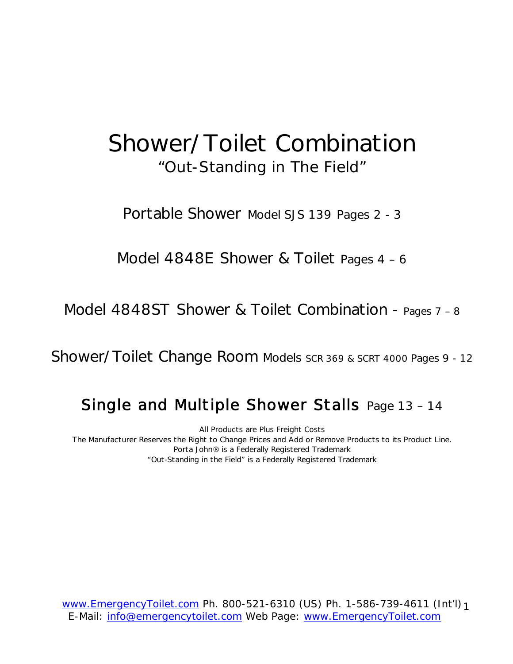# Shower/Toilet Combination "Out-Standing in The Field"

Portable Shower Model SJS 139 Pages 2 - 3

Model 4848E Shower & Toilet Pages 4 – 6

Model 4848ST Shower & Toilet Combination - Pages 7 – 8

Shower/Toilet Change Room Models SCR 369 & SCRT 4000 Pages 9 - 12

#### Single and Multiple Shower Stalls Page 13 – 14

All Products are Plus Freight Costs The Manufacturer Reserves the Right to Change Prices and Add or Remove Products to its Product Line. Porta John® is a Federally Registered Trademark "Out-Standing in the Field" is a Federally Registered Trademark

www.EmergencyToilet.com Ph. 800-521-6310 (US) Ph. 1-586-739-4611 (Int'l) 1 E-Mail: info@emergencytoilet.com Web Page: www.EmergencyToilet.com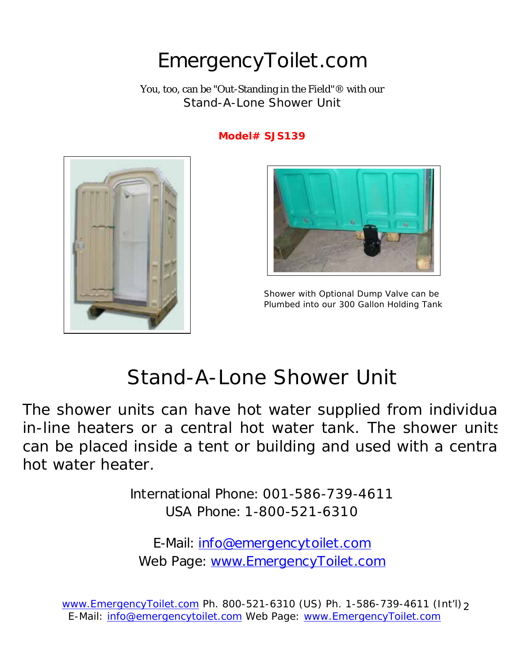# EmergencyToilet.com

You, too, can be "Out-Standing in the Field"® with our Stand-A-Lone Shower Unit

#### **Model# SJS139**





 Shower with Optional Dump Valve can be Plumbed into our 300 Gallon Holding Tank

# Stand-A-Lone Shower Unit

The shower units can have hot water supplied from individua in-line heaters or a central hot water tank. The shower units can be placed inside a tent or building and used with a centra hot water heater.

> International Phone: 001-586-739-4611 USA Phone: 1-800-521-6310

E-Mail: info@emergencytoilet.com Web Page: www.EmergencyToilet.com

www.EmergencyToilet.com Ph. 800-521-6310 (US) Ph. 1-586-739-4611 (Int'l) 2 E-Mail: info@emergencytoilet.com Web Page: www.EmergencyToilet.com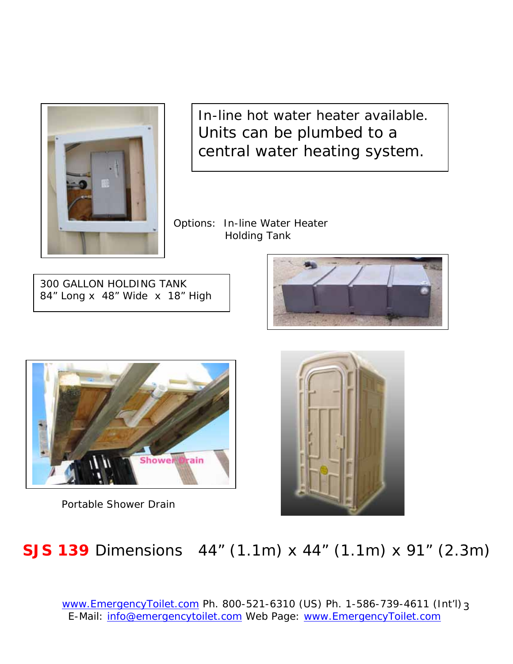

In-line hot water heater available. Units can be plumbed to a central water heating system.

Options: In-line Water Heater Holding Tank

300 GALLON HOLDING TANK 84" Long x 48" Wide x 18" High





Portable Shower Drain



# **SJS 139** Dimensions 44" (1.1m) x 44" (1.1m) x 91" (2.3m)

www.EmergencyToilet.com Ph. 800-521-6310 (US) Ph. 1-586-739-4611 (Int'l) 3 E-Mail: info@emergencytoilet.com Web Page: www.EmergencyToilet.com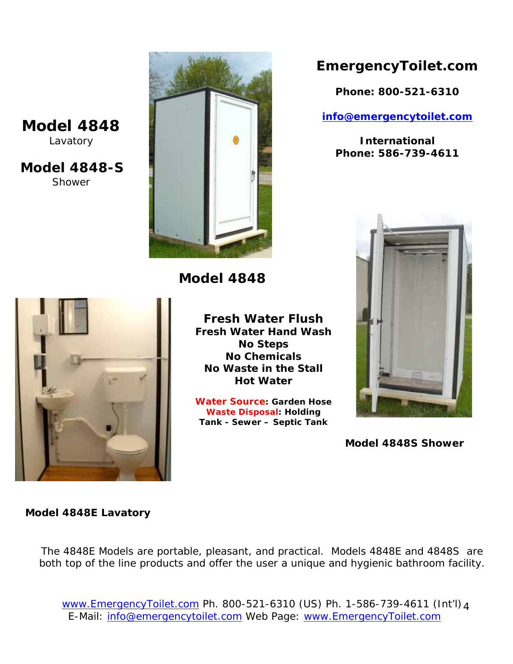#### **Model 4848**  Lavatory

**Model 4848-S**  Shower



**Model 4848** 



**Water Source: Garden Hose Waste Disposal: Holding Tank - Sewer – Septic Tank** 

#### **EmergencyToilet.com**

**Phone: 800-521-6310** 

**info@emergencytoilet.com** 

**International Phone: 586-739-4611** 



**Model 4848S Shower**



**Fresh Water Hand Wash** 

#### **Model 4848E Lavatory**

The 4848E Models are portable, pleasant, and practical. Models 4848E and 4848S are both top of the line products and offer the user a unique and hygienic bathroom facility.

www.EmergencyToilet.com Ph. 800-521-6310 (US) Ph. 1-586-739-4611 (Int'l) 4 E-Mail: info@emergencytoilet.com Web Page: www.EmergencyToilet.com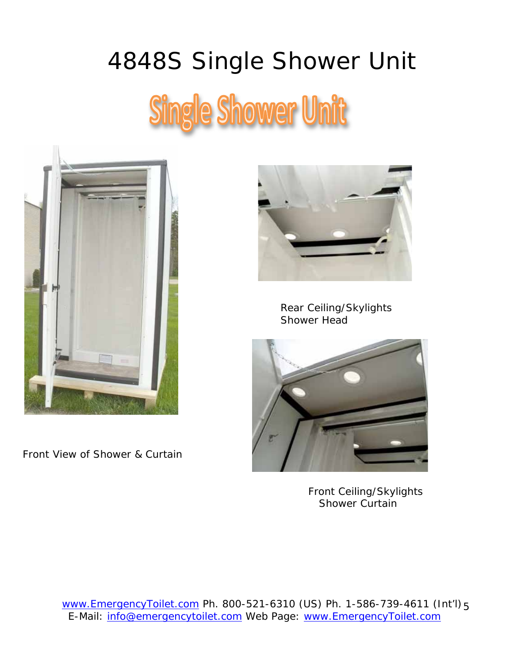# 4848S Single Shower Unit **Single Shower Unit**



Front View of Shower & Curtain



 Rear Ceiling/Skylights Shower Head



 Front Ceiling/Skylights Shower Curtain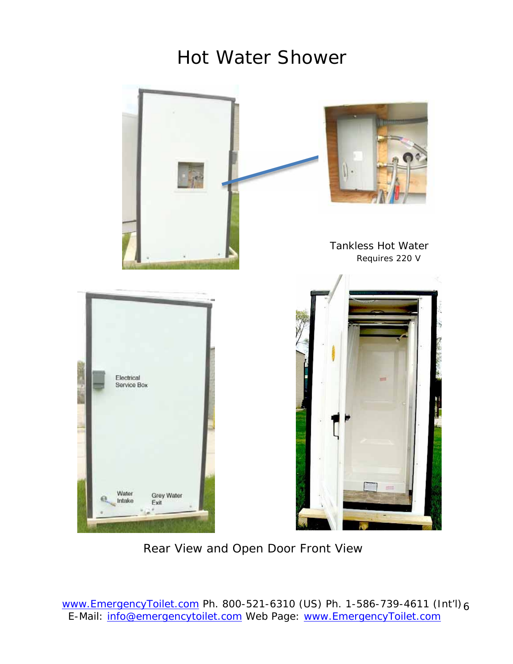# Hot Water Shower



Rear View and Open Door Front View

www.EmergencyToilet.com Ph. 800-521-6310 (US) Ph. 1-586-739-4611 (Int'l) 6 E-Mail: info@emergencytoilet.com Web Page: www.EmergencyToilet.com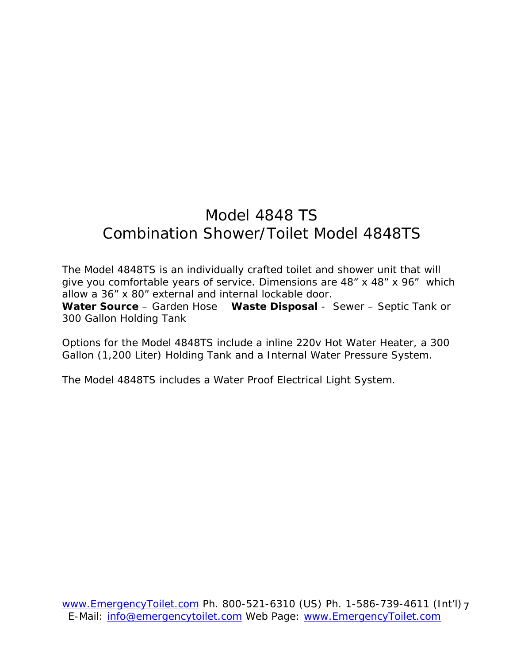### Model 4848 TS Combination Shower/Toilet Model 4848TS

The Model 4848TS is an individually crafted toilet and shower unit that will give you comfortable years of service. Dimensions are 48" x 48" x 96" which allow a 36" x 80" external and internal lockable door. **Water Source** – Garden Hose **Waste Disposal** - Sewer – Septic Tank or 300 Gallon Holding Tank

Options for the Model 4848TS include a inline 220v Hot Water Heater, a 300 Gallon (1,200 Liter) Holding Tank and a Internal Water Pressure System.

The Model 4848TS includes a Water Proof Electrical Light System.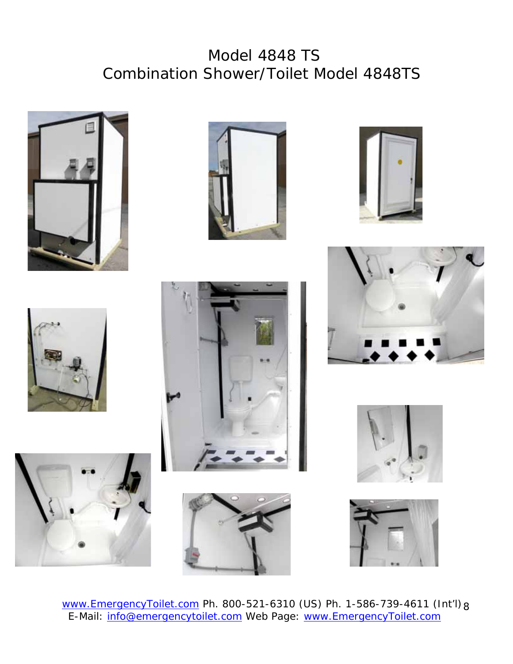### Model 4848 TS Combination Shower/Toilet Model 4848TS



















www.EmergencyToilet.com Ph. 800-521-6310 (US) Ph. 1-586-739-4611 (Int'l) 8 E-Mail: info@emergencytoilet.com Web Page: www.EmergencyToilet.com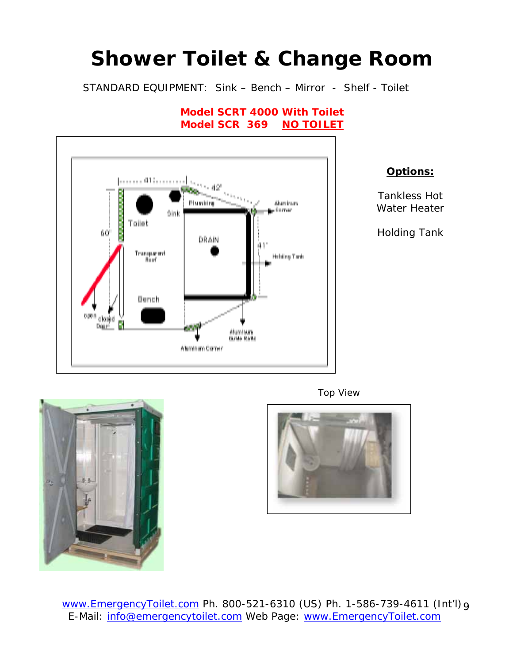# **Shower Toilet & Change Room**

STANDARD EQUIPMENT: Sink – Bench – Mirror - Shelf - Toilet



**Model SCRT 4000 With Toilet Model SCR 369 NO TOILET** 



Tankless Hot Water Heater

Holding Tank



Top View



www.EmergencyToilet.com Ph. 800-521-6310 (US) Ph. 1-586-739-4611 (Int'l) 9 E-Mail: info@emergencytoilet.com Web Page: www.EmergencyToilet.com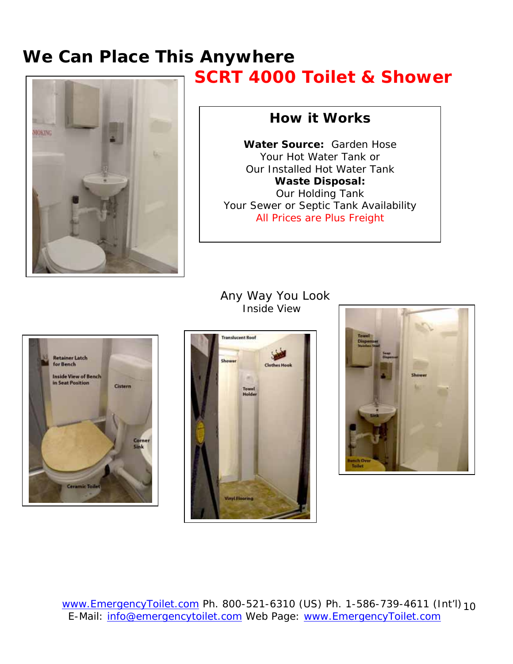### **We Can Place This Anywhere SCRT 4000 Toilet & Shower**



#### **How it Works**

**Water Source:** Garden Hose Your Hot Water Tank or Our Installed Hot Water Tank **Waste Disposal:**  Our Holding Tank Your Sewer or Septic Tank Availability All Prices are Plus Freight



#### Any Way You Look Inside View



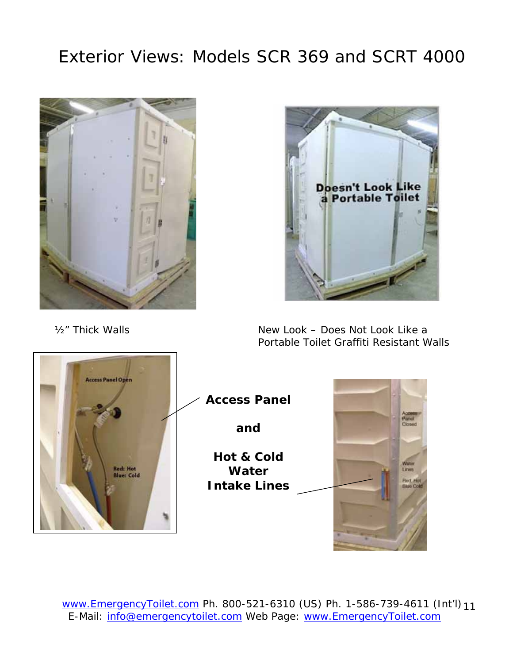## Exterior Views: Models SCR 369 and SCRT 4000



**Doesn't Look Like** a Portable Toilet

½" Thick Walls

New Look – Does Not Look Like a Portable Toilet Graffiti Resistant Walls



www.EmergencyToilet.com Ph. 800-521-6310 (US) Ph. 1-586-739-4611 (Int'l) 11 E-Mail: info@emergencytoilet.com Web Page: www.EmergencyToilet.com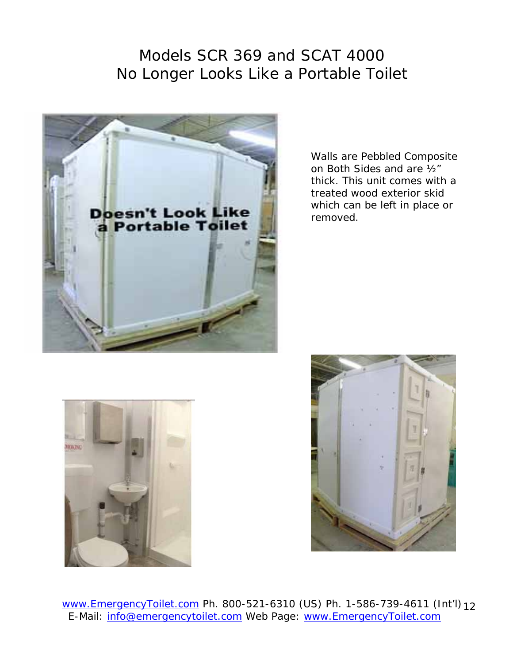#### Models SCR 369 and SCAT 4000 No Longer Looks Like a Portable Toilet



Walls are Pebbled Composite on Both Sides and are ½" thick. This unit comes with a treated wood exterior skid which can be left in place or removed.





www.EmergencyToilet.com Ph. 800-521-6310 (US) Ph. 1-586-739-4611 (Int'l) 12 E-Mail: info@emergencytoilet.com Web Page: www.EmergencyToilet.com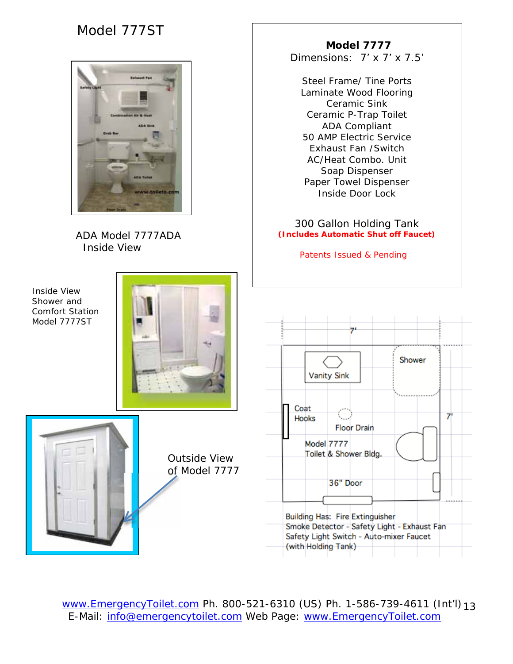#### Model 777ST



 ADA Model 7777ADA Inside View

Inside View Shower and Comfort Station Model 7777ST





Outside View of Model 7777

 **Model 7777**  Dimensions: 7' x 7' x 7.5'

Steel Frame/ Tine Ports Laminate Wood Flooring Ceramic Sink Ceramic P-Trap Toilet ADA Compliant 50 AMP Electric Service Exhaust Fan /Switch AC/Heat Combo. Unit Soap Dispenser Paper Towel Dispenser Inside Door Lock

300 Gallon Holding Tank **(Includes Automatic Shut off Faucet)** 

Patents Issued & Pending



www.EmergencyToilet.com Ph. 800-521-6310 (US) Ph. 1-586-739-4611 (Int'l) 13 E-Mail: info@emergencytoilet.com Web Page: www.EmergencyToilet.com